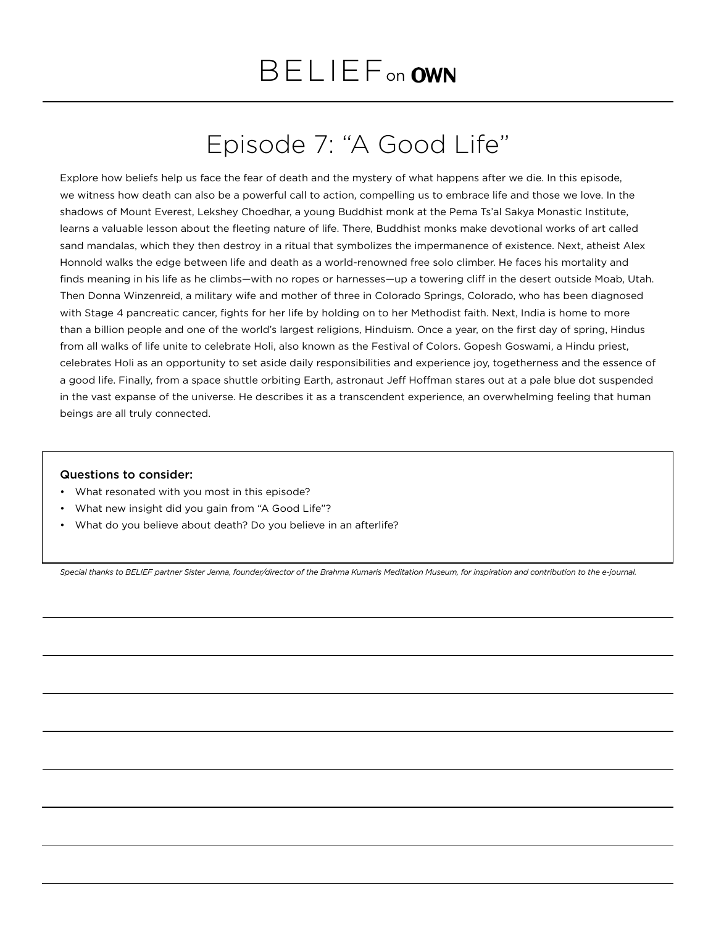## Episode 7: "A Good Life"

Explore how beliefs help us face the fear of death and the mystery of what happens after we die. In this episode, we witness how death can also be a powerful call to action, compelling us to embrace life and those we love. In the shadows of Mount Everest, Lekshey Choedhar, a young Buddhist monk at the Pema Ts'al Sakya Monastic Institute, learns a valuable lesson about the fleeting nature of life. There, Buddhist monks make devotional works of art called sand mandalas, which they then destroy in a ritual that symbolizes the impermanence of existence. Next, atheist Alex Honnold walks the edge between life and death as a world-renowned free solo climber. He faces his mortality and finds meaning in his life as he climbs—with no ropes or harnesses—up a towering cliff in the desert outside Moab, Utah. Then Donna Winzenreid, a military wife and mother of three in Colorado Springs, Colorado, who has been diagnosed with Stage 4 pancreatic cancer, fights for her life by holding on to her Methodist faith. Next, India is home to more than a billion people and one of the world's largest religions, Hinduism. Once a year, on the first day of spring, Hindus from all walks of life unite to celebrate Holi, also known as the Festival of Colors. Gopesh Goswami, a Hindu priest, celebrates Holi as an opportunity to set aside daily responsibilities and experience joy, togetherness and the essence of a good life. Finally, from a space shuttle orbiting Earth, astronaut Jeff Hoffman stares out at a pale blue dot suspended in the vast expanse of the universe. He describes it as a transcendent experience, an overwhelming feeling that human beings are all truly connected.

## Questions to consider:

- What resonated with you most in this episode?
- What new insight did you gain from "A Good Life"?
- What do you believe about death? Do you believe in an afterlife?

*Special thanks to BELIEF partner Sister Jenna, founder/director of the Brahma Kumaris Meditation Museum, for inspiration and contribution to the e-journal.*